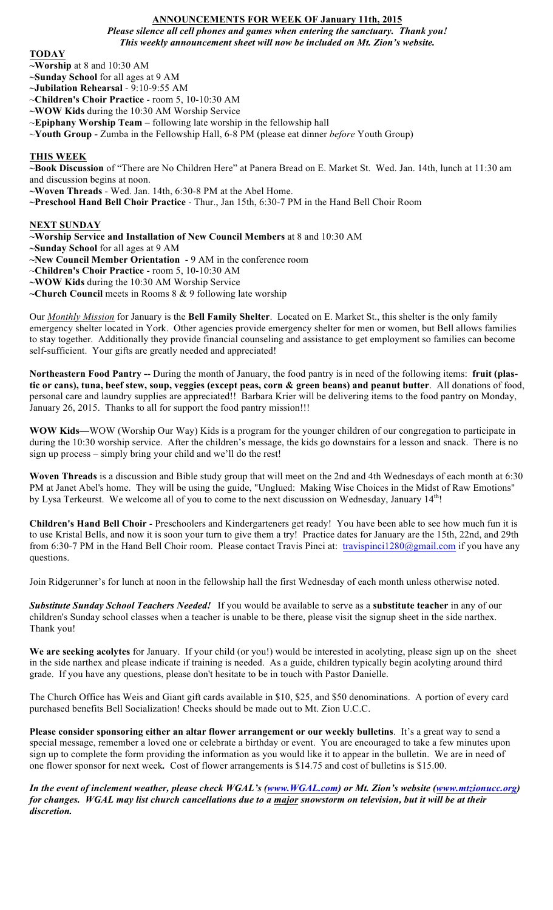# **ANNOUNCEMENTS FOR WEEK OF January 11th, 2015**

*Please silence all cell phones and games when entering the sanctuary. Thank you! This weekly announcement sheet will now be included on Mt. Zion's website.*

### **TODAY**

**~Worship** at 8 and 10:30 AM

- **~Sunday School** for all ages at 9 AM
- **~Jubilation Rehearsal** 9:10-9:55 AM

~**Children's Choir Practice** - room 5, 10-10:30 AM

**~WOW Kids** during the 10:30 AM Worship Service

~**Epiphany Worship Team** – following late worship in the fellowship hall

~**Youth Group -** Zumba in the Fellowship Hall, 6-8 PM (please eat dinner *before* Youth Group)

## **THIS WEEK**

**~Book Discussion** of "There are No Children Here" at Panera Bread on E. Market St. Wed. Jan. 14th, lunch at 11:30 am and discussion begins at noon. **~Woven Threads** - Wed. Jan. 14th, 6:30-8 PM at the Abel Home.

**~Preschool Hand Bell Choir Practice** - Thur., Jan 15th, 6:30-7 PM in the Hand Bell Choir Room

## **NEXT SUNDAY**

**~Worship Service and Installation of New Council Members** at 8 and 10:30 AM **~Sunday School** for all ages at 9 AM **~New Council Member Orientation** - 9 AM in the conference room ~**Children's Choir Practice** - room 5, 10-10:30 AM **~WOW Kids** during the 10:30 AM Worship Service **~Church Council** meets in Rooms 8 & 9 following late worship

Our *Monthly Mission* for January is the **Bell Family Shelter**. Located on E. Market St., this shelter is the only family emergency shelter located in York. Other agencies provide emergency shelter for men or women, but Bell allows families to stay together. Additionally they provide financial counseling and assistance to get employment so families can become self-sufficient. Your gifts are greatly needed and appreciated!

**Northeastern Food Pantry --** During the month of January, the food pantry is in need of the following items: **fruit (plastic or cans), tuna, beef stew, soup, veggies (except peas, corn & green beans) and peanut butter**. All donations of food, personal care and laundry supplies are appreciated!! Barbara Krier will be delivering items to the food pantry on Monday, January 26, 2015. Thanks to all for support the food pantry mission!!!

**WOW Kids—**WOW (Worship Our Way) Kids is a program for the younger children of our congregation to participate in during the 10:30 worship service. After the children's message, the kids go downstairs for a lesson and snack. There is no sign up process – simply bring your child and we'll do the rest!

**Woven Threads** is a discussion and Bible study group that will meet on the 2nd and 4th Wednesdays of each month at 6:30 PM at Janet Abel's home. They will be using the guide, "Unglued: Making Wise Choices in the Midst of Raw Emotions" by Lysa Terkeurst. We welcome all of you to come to the next discussion on Wednesday, January 14<sup>th</sup>!

**Children's Hand Bell Choir** - Preschoolers and Kindergarteners get ready! You have been able to see how much fun it is to use Kristal Bells, and now it is soon your turn to give them a try! Practice dates for January are the 15th, 22nd, and 29th from 6:30-7 PM in the Hand Bell Choir room. Please contact Travis Pinci at: travispinci1280@gmail.com if you have any questions.

Join Ridgerunner's for lunch at noon in the fellowship hall the first Wednesday of each month unless otherwise noted.

*Substitute Sunday School Teachers Needed!* If you would be available to serve as a **substitute teacher** in any of our children's Sunday school classes when a teacher is unable to be there, please visit the signup sheet in the side narthex. Thank you!

**We are seeking acolytes** for January. If your child (or you!) would be interested in acolyting, please sign up on the sheet in the side narthex and please indicate if training is needed. As a guide, children typically begin acolyting around third grade. If you have any questions, please don't hesitate to be in touch with Pastor Danielle.

The Church Office has Weis and Giant gift cards available in \$10, \$25, and \$50 denominations. A portion of every card purchased benefits Bell Socialization! Checks should be made out to Mt. Zion U.C.C.

**Please consider sponsoring either an altar flower arrangement or our weekly bulletins**. It's a great way to send a special message, remember a loved one or celebrate a birthday or event. You are encouraged to take a few minutes upon sign up to complete the form providing the information as you would like it to appear in the bulletin. We are in need of one flower sponsor for next week*.* Cost of flower arrangements is \$14.75 and cost of bulletins is \$15.00.

*In the event of inclement weather, please check WGAL's (www.WGAL.com) or Mt. Zion's website (www.mtzionucc.org) for changes. WGAL may list church cancellations due to a major snowstorm on television, but it will be at their discretion.*